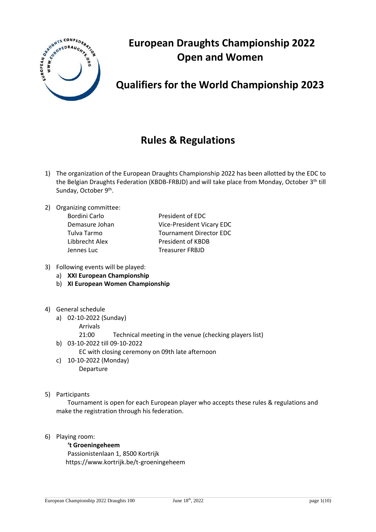

# **European Draughts Championship 2022 Open and Women**

# **Qualifiers for the World Championship 2023**

# **Rules & Regulations**

- 1) The organization of the European Draughts Championship 2022 has been allotted by the EDC to the Belgian Draughts Federation (KBDB-FRBJD) and will take place from Monday, October 3<sup>th</sup> till Sunday, October 9<sup>th</sup>.
- 2) Organizing committee:

| Bordini Carlo  |
|----------------|
| Demasure Johan |
| Tulva Tarmo    |
| Libbrecht Alex |
| Jennes Luc     |

Bordini Carlo **President of EDC** Vice-President Vicary EDC Tournament Director EDC President of KBDB **Treasurer FRBJD** 

- 3) Following events will be played:
	- a) **XXI European Championship**
	- b) **XI European Women Championship**
- 4) General schedule
	- a) 02-10-2022 (Sunday)
		- Arrivals
			- 21:00 Technical meeting in the venue (checking players list)
	- b) 03-10-2022 till 09-10-2022
		- EC with closing ceremony on 09th late afternoon
	- c) 10-10-2022 (Monday) Departure
- 5) Participants

Tournament is open for each European player who accepts these rules & regulations and make the registration through his federation.

6) Playing room:

#### **'t Groeningeheem**

Passionistenlaan 1, 8500 Kortrijk https://www.kortrijk.be/t-groeningeheem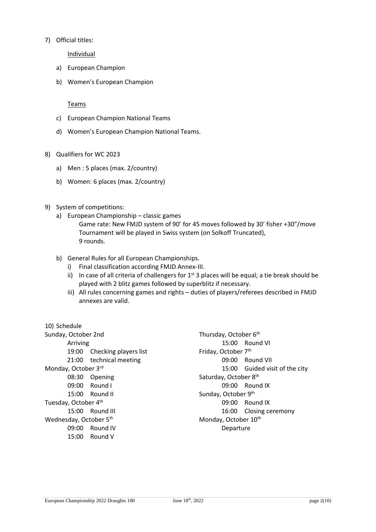#### 7) Official titles:

**Individual** 

- a) European Champion
- b) Women's European Champion

#### Teams

- c) European Champion National Teams
- d) Women's European Champion National Teams.
- 8) Qualifiers for WC 2023
	- a) Men : 5 places (max. 2/country)
	- b) Women: 6 places (max. 2/country)
- 9) System of competitions:
	- a) European Championship classic games Game rate: New FMJD system of 90' for 45 moves followed by 30' fisher +30"/move Tournament will be played in Swiss system (on Solkoff Truncated), 9 rounds.
	- b) General Rules for all European Championships.
		- i) Final classification according FMJD Annex-III.
		- ii) In case of all criteria of challengers for  $1<sup>st</sup>$  3 places will be equal; a tie break should be played with 2 blitz games followed by superblitz if necessary.
		- iii) All rules concerning games and rights duties of players/referees described in FMJD annexes are valid.

| 10) Schedule           |                       |                       |                          |
|------------------------|-----------------------|-----------------------|--------------------------|
| Sunday, October 2nd    |                       | Thursday, October 6th |                          |
| Arriving               |                       |                       | $15:00$ Round VI         |
| 19:00                  | Checking players list | Friday, October 7th   |                          |
| 21:00                  | technical meeting     | 09:00                 | Round VII                |
| Monday, October 3rd    |                       | 15:00                 | Guided visit of the city |
| 08:30                  | Opening               | Saturday, October 8th |                          |
| 09:00                  | Round I               |                       | $09:00$ Round IX         |
|                        | 15:00 Round II        | Sunday, October 9th   |                          |
| Tuesday, October 4th   |                       |                       | 09:00 Round IX           |
|                        | 15:00 Round III       | 16:00                 | Closing ceremony         |
| Wednesday, October 5th |                       | Monday, October 10th  |                          |
| 09:00                  | Round IV              | Departure             |                          |
|                        | $15:00$ Round V       |                       |                          |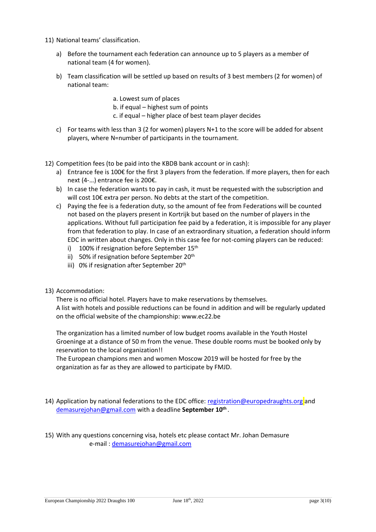- 11) National teams' classification.
	- a) Before the tournament each federation can announce up to 5 players as a member of national team (4 for women).
	- b) Team classification will be settled up based on results of 3 best members (2 for women) of national team:

a. Lowest sum of places b. if equal – highest sum of points

- c. if equal higher place of best team player decides
- c) For teams with less than 3 (2 for women) players  $N+1$  to the score will be added for absent players, where N=number of participants in the tournament.
- 12) Competition fees (to be paid into the KBDB bank account or in cash):
	- a) Entrance fee is 100€ for the first 3 players from the federation. If more players, then for each next (4-…) entrance fee is 200€.
	- b) In case the federation wants to pay in cash, it must be requested with the subscription and will cost 10€ extra per person. No debts at the start of the competition.
	- c) Paying the fee is a federation duty, so the amount of fee from Federations will be counted not based on the players present in Kortrijk but based on the number of players in the applications. Without full participation fee paid by a federation, it is impossible for any player from that federation to play. In case of an extraordinary situation, a federation should inform EDC in written about changes. Only in this case fee for not-coming players can be reduced:
		- i) 100% if resignation before September  $15<sup>th</sup>$
		- ii) 50% if resignation before September  $20<sup>th</sup>$
		- iii) 0% if resignation after September 20<sup>th</sup>
- 13) Accommodation:

There is no official hotel. Players have to make reservations by themselves. A list with hotels and possible reductions can be found in addition and will be regularly updated on the official website of the championship: www.ec22.be

The organization has a limited number of low budget rooms available in the Youth Hostel Groeninge at a distance of 50 m from the venue. These double rooms must be booked only by reservation to the local organization!!

The European champions men and women Moscow 2019 will be hosted for free by the organization as far as they are allowed to participate by FMJD.

- 14) Application by national federations to the EDC office[: registration@europedraughts.org](mailto:registration@europedraughts.org) and [demasurejohan@gmail.com](mailto:demasurejohan@gmail.com) with a deadline **September 10th** .
- 15) With any questions concerning visa, hotels etc please contact Mr. Johan Demasure e-mail : [demasurejohan@gmail.com](mailto:demasurejohan@gmail.com)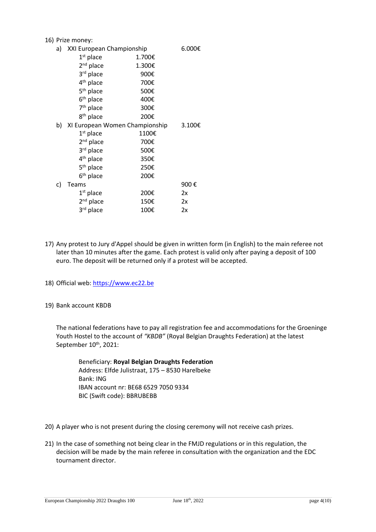#### 16) Prize money:

|    | $\blacksquare$               |                                   |      |  |
|----|------------------------------|-----------------------------------|------|--|
|    | a) XXI European Championship | 6.000€                            |      |  |
|    | $1st$ place                  | 1.700€                            |      |  |
|    | $2nd$ place                  | 1.300€                            |      |  |
|    | 3rd place                    | 900€                              |      |  |
|    | 4 <sup>th</sup> place        | 700€                              |      |  |
|    | 5 <sup>th</sup> place        | 500€                              |      |  |
|    | $6th$ place                  | 400€                              |      |  |
|    | 7 <sup>th</sup> place        | 300€                              |      |  |
|    | 8 <sup>th</sup> place        | 200€                              |      |  |
|    |                              | b) XI European Women Championship |      |  |
|    | $1st$ place                  | 1100€                             |      |  |
|    | $2nd$ place                  | 700€                              |      |  |
|    | 3rd place                    | 500€                              |      |  |
|    | 4 <sup>th</sup> place        | 350€                              |      |  |
|    | 5 <sup>th</sup> place        | 250€                              |      |  |
|    | 6 <sup>th</sup> place        | 200€                              |      |  |
| C) | <b>Teams</b>                 |                                   | 900€ |  |
|    | $1st$ place                  | 200€                              | 2x   |  |
|    | $2nd$ place                  | 150€                              | 2x   |  |
|    | 3 <sup>rd</sup> place        | 100€                              | 2x   |  |
|    |                              |                                   |      |  |

- 17) Any protest to Jury d'Appel should be given in written form (in English) to the main referee not later than 10 minutes after the game. Each protest is valid only after paying a deposit of 100 euro. The deposit will be returned only if a protest will be accepted.
- 18) Official web: [https://www.ec22.be](https://www.ec22.be/)

#### 19) Bank account KBDB

The national federations have to pay all registration fee and accommodations for the Groeninge Youth Hostel to the account of *"KBDB"* (Royal Belgian Draughts Federation) at the latest September 10<sup>th</sup>, 2021:

Beneficiary: **Royal Belgian Draughts Federation** Address: Elfde Julistraat, 175 – 8530 Harelbeke Bank: ING IBAN account nr: BE68 6529 7050 9334 BIC (Swift code): BBRUBEBB

- 20) A player who is not present during the closing ceremony will not receive cash prizes.
- 21) In the case of something not being clear in the FMJD regulations or in this regulation, the decision will be made by the main referee in consultation with the organization and the EDC tournament director.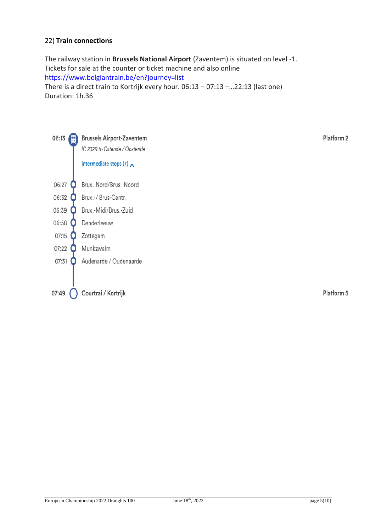## 22) **Train connections**

The railway station in **Brussels National Airport** (Zaventem) is situated on level -1. Tickets for sale at the counter or ticket machine and also online <https://www.belgiantrain.be/en?journey=list> There is a direct train to Kortrijk every hour. 06:13 – 07:13 –…22:13 (last one) Duration: 1h.36



Platform 2

Platform 5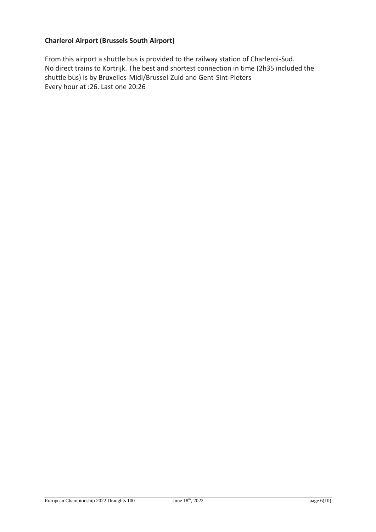## **Charleroi Airport (Brussels South Airport)**

From this airport a shuttle bus is provided to the railway station of Charleroi-Sud. No direct trains to Kortrijk. The best and shortest connection in time (2h35 included the shuttle bus) is by Bruxelles-Midi/Brussel-Zuid and Gent-Sint-Pieters Every hour at :26. Last one 20:26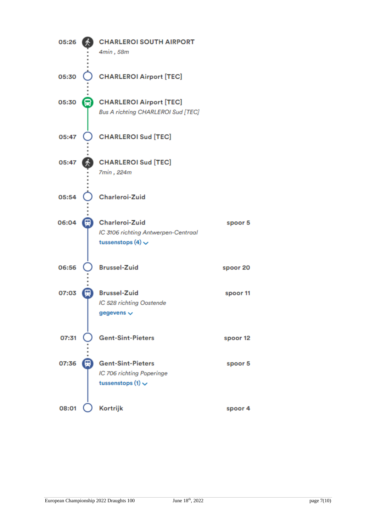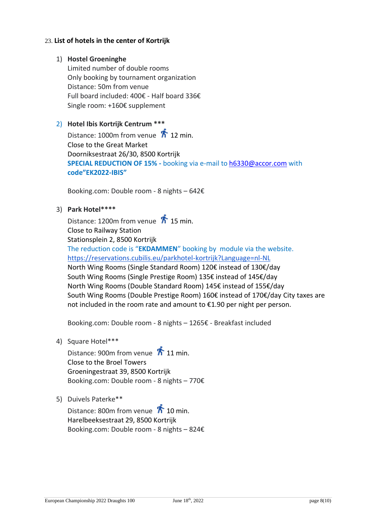### 23. **List of hotels in the center of Kortrijk**

### 1) **Hostel Groeninghe**

Limited number of double rooms Only booking by tournament organization Distance: 50m from venue Full board included: 400€ - Half board 336€ Single room: +160€ supplement

## 2) **Hotel Ibis Kortrijk Centrum \*\*\***

Distance: 1000m from venue  $\overline{h}$  12 min. Close to the Great Market Doorniksestraat 26/30, 8500 Kortrijk **SPECIAL REDUCTION OF 15% -** booking via e-mail t[o h6330@accor.com](mailto:h6330@accor.com) with **code"EK2022-IBIS"**

Booking.com: Double room - 8 nights – 642€

3) **Park Hotel\*\*\*\***

Distance: 1200m from venue  $\overrightarrow{\hbar}$  15 min. Close to Railway Station Stationsplein 2, 8500 Kortrijk The reduction code is "**EKDAMMEN**" booking by module via the website. <https://reservations.cubilis.eu/parkhotel-kortrijk?Language=nl-NL> North Wing Rooms (Single Standard Room) 120€ instead of 130€/day South Wing Rooms (Single Prestige Room) 135€ instead of 145€/day North Wing Rooms (Double Standard Room) 145€ instead of 155€/day South Wing Rooms (Double Prestige Room) 160€ instead of 170€/day City taxes are not included in the room rate and amount to €1.90 per night per person.

Booking.com: Double room - 8 nights – 1265€ - Breakfast included

4) Square Hotel\*\*\*

Distance: 900m from venue  $\overline{\mathbf{1}}$  11 min. Close to the Broel Towers Groeningestraat 39, 8500 Kortrijk Booking.com: Double room - 8 nights – 770€

5) Duivels Paterke\*\*

Distance: 800m from venue  $\sqrt{\hbar}$  10 min. Harelbeeksestraat 29, 8500 Kortrijk Booking.com: Double room - 8 nights – 824€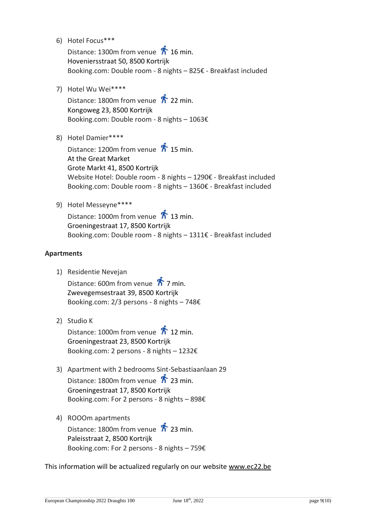6) Hotel Focus\*\*\*

Distance: 1300m from venue  $\overline{h}$  16 min. Hoveniersstraat 50, 8500 Kortrijk Booking.com: Double room - 8 nights – 825€ - Breakfast included

7) Hotel Wu Wei\*\*\*\*

Distance: 1800m from venue  $\bar{\pi}$  22 min. Kongoweg 23, 8500 Kortrijk Booking.com: Double room - 8 nights – 1063€

8) Hotel Damier\*\*\*\*

Distance: 1200m from venue  $\overrightarrow{\hbar}$  15 min. At the Great Market Grote Markt 41, 8500 Kortrijk Website Hotel: Double room - 8 nights – 1290€ - Breakfast included Booking.com: Double room - 8 nights – 1360€ - Breakfast included

9) Hotel Messeyne\*\*\*\*

Distance: 1000m from venue  $\overline{\mathbf{1}}$  13 min. Groeningestraat 17, 8500 Kortrijk Booking.com: Double room - 8 nights – 1311€ - Breakfast included

## **Apartments**

1) Residentie Nevejan

Distance: 600m from venue  $\sqrt{\hbar}$  7 min. Zwevegemsestraat 39, 8500 Kortrijk Booking.com: 2/3 persons - 8 nights – 748€

2) Studio K

Distance: 1000m from venue  $\overline{\mathbf{1}}$  12 min. Groeningestraat 23, 8500 Kortrijk Booking.com: 2 persons - 8 nights – 1232€

- 3) Apartment with 2 bedrooms Sint-Sebastiaanlaan 29 Distance: 1800m from venue  $\overline{\mathbf{A}}$  23 min. Groeningestraat 17, 8500 Kortrijk Booking.com: For 2 persons - 8 nights – 898€
- 4) ROOOm apartments Distance: 1800m from venue  $\overrightarrow{\hbar}$  23 min. Paleisstraat 2, 8500 Kortrijk Booking.com: For 2 persons - 8 nights – 759€

This information will be actualized regularly on our website [www.ec22.be](http://www.ec22.be/)